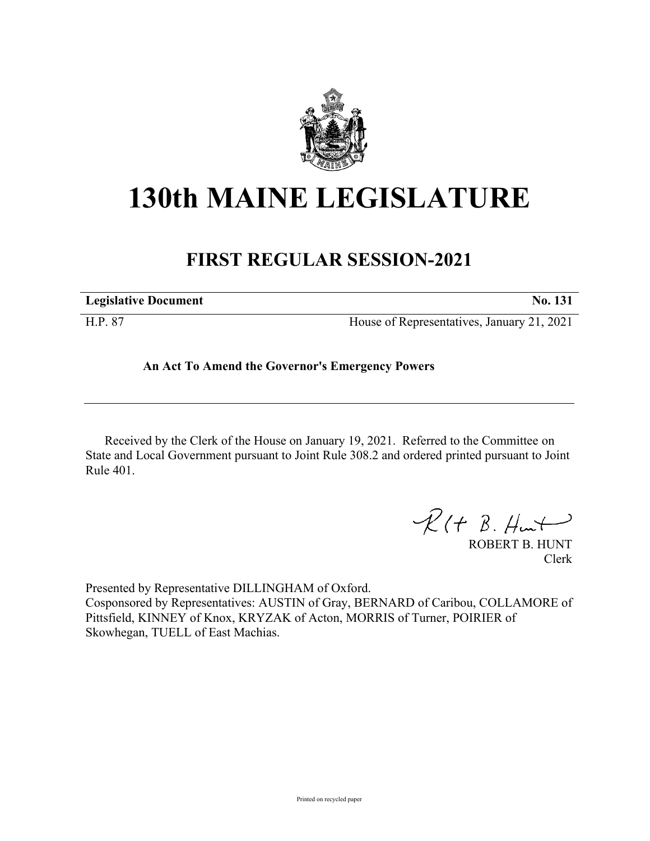

## **130th MAINE LEGISLATURE**

## **FIRST REGULAR SESSION-2021**

| <b>Legislative Document</b> | No. 131                                    |
|-----------------------------|--------------------------------------------|
| H.P. 87                     | House of Representatives, January 21, 2021 |

## **An Act To Amend the Governor's Emergency Powers**

Received by the Clerk of the House on January 19, 2021. Referred to the Committee on State and Local Government pursuant to Joint Rule 308.2 and ordered printed pursuant to Joint Rule 401.

 $\mathcal{R}(t \; \mathcal{B}, \#m\rightarrow)$ 

ROBERT B. HUNT Clerk

Presented by Representative DILLINGHAM of Oxford. Cosponsored by Representatives: AUSTIN of Gray, BERNARD of Caribou, COLLAMORE of Pittsfield, KINNEY of Knox, KRYZAK of Acton, MORRIS of Turner, POIRIER of Skowhegan, TUELL of East Machias.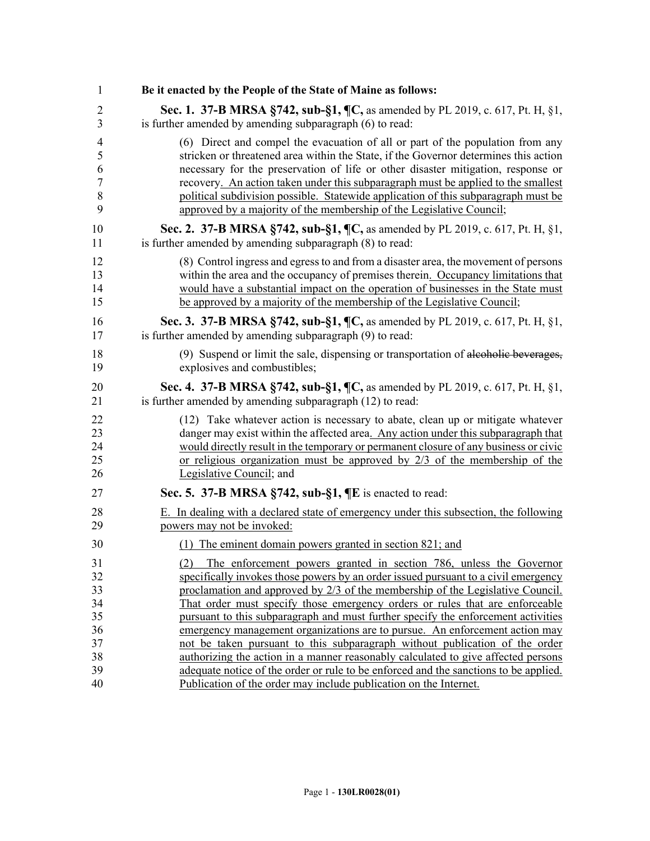| $\mathbf{1}$   | Be it enacted by the People of the State of Maine as follows:                                |
|----------------|----------------------------------------------------------------------------------------------|
| 2              | Sec. 1. 37-B MRSA §742, sub-§1, ¶C, as amended by PL 2019, c. 617, Pt. H, §1,                |
| 3              | is further amended by amending subparagraph (6) to read:                                     |
| $\overline{4}$ | (6) Direct and compel the evacuation of all or part of the population from any               |
| 5              | stricken or threatened area within the State, if the Governor determines this action         |
| 6              | necessary for the preservation of life or other disaster mitigation, response or             |
| $\overline{7}$ | recovery. An action taken under this subparagraph must be applied to the smallest            |
| 8              | political subdivision possible. Statewide application of this subparagraph must be           |
| 9              | approved by a majority of the membership of the Legislative Council;                         |
| 10             | Sec. 2. 37-B MRSA §742, sub-§1, ¶C, as amended by PL 2019, c. 617, Pt. H, §1,                |
| 11             | is further amended by amending subparagraph (8) to read:                                     |
| 12             | (8) Control ingress and egress to and from a disaster area, the movement of persons          |
| 13             | within the area and the occupancy of premises therein. Occupancy limitations that            |
| 14             | would have a substantial impact on the operation of businesses in the State must             |
| 15             | be approved by a majority of the membership of the Legislative Council;                      |
| 16             | <b>Sec. 3.</b> 37- <b>B MRSA §742, sub-§1, ¶C,</b> as amended by PL 2019, c. 617, Pt. H, §1, |
| 17             | is further amended by amending subparagraph (9) to read:                                     |
| 18             | (9) Suspend or limit the sale, dispensing or transportation of alcoholic beverages,          |
| 19             | explosives and combustibles;                                                                 |
| 20             | Sec. 4. 37-B MRSA §742, sub-§1, ¶C, as amended by PL 2019, c. 617, Pt. H, §1,                |
| 21             | is further amended by amending subparagraph (12) to read:                                    |
| 22             | (12) Take whatever action is necessary to abate, clean up or mitigate whatever               |
| 23             | danger may exist within the affected area. Any action under this subparagraph that           |
| 24             | would directly result in the temporary or permanent closure of any business or civic         |
| 25             | or religious organization must be approved by $2/3$ of the membership of the                 |
| 26             | Legislative Council; and                                                                     |
| 27             | Sec. 5. 37-B MRSA $\S$ 742, sub- $\S$ 1, $\P$ E is enacted to read:                          |
| 28             | E. In dealing with a declared state of emergency under this subsection, the following        |
| 29             | powers may not be invoked:                                                                   |
| 30             | (1) The eminent domain powers granted in section 821; and                                    |
| 31             | (2) The enforcement powers granted in section 786, unless the Governor                       |
| 32             | specifically invokes those powers by an order issued pursuant to a civil emergency           |
| 33             | proclamation and approved by 2/3 of the membership of the Legislative Council.               |
| 34             | That order must specify those emergency orders or rules that are enforceable                 |
| 35             | pursuant to this subparagraph and must further specify the enforcement activities            |
| 36             | emergency management organizations are to pursue. An enforcement action may                  |
| 37             | not be taken pursuant to this subparagraph without publication of the order                  |
| 38             | authorizing the action in a manner reasonably calculated to give affected persons            |
| 39             | adequate notice of the order or rule to be enforced and the sanctions to be applied.         |
| 40             | Publication of the order may include publication on the Internet.                            |